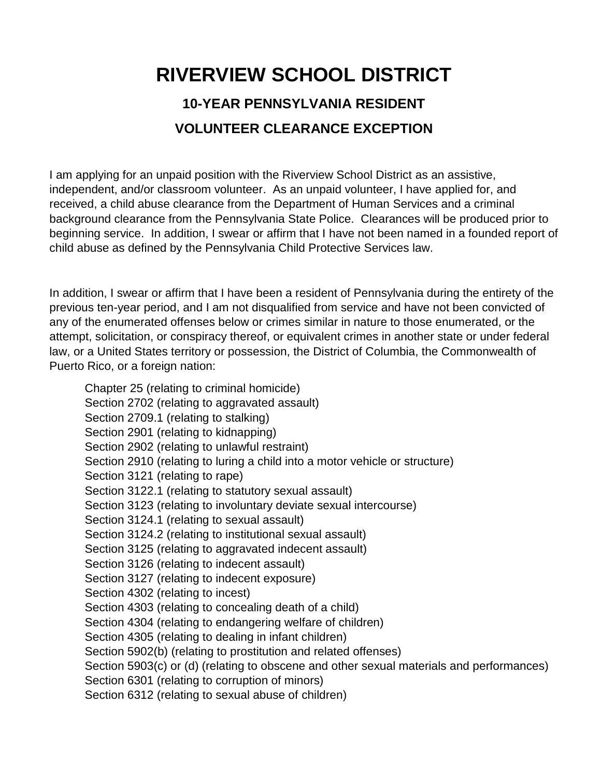## **RIVERVIEW SCHOOL DISTRICT 10-YEAR PENNSYLVANIA RESIDENT VOLUNTEER CLEARANCE EXCEPTION**

I am applying for an unpaid position with the Riverview School District as an assistive, independent, and/or classroom volunteer. As an unpaid volunteer, I have applied for, and received, a child abuse clearance from the Department of Human Services and a criminal background clearance from the Pennsylvania State Police. Clearances will be produced prior to beginning service. In addition, I swear or affirm that I have not been named in a founded report of child abuse as defined by the Pennsylvania Child Protective Services law.

In addition, I swear or affirm that I have been a resident of Pennsylvania during the entirety of the previous ten-year period, and I am not disqualified from service and have not been convicted of any of the enumerated offenses below or crimes similar in nature to those enumerated, or the attempt, solicitation, or conspiracy thereof, or equivalent crimes in another state or under federal law, or a United States territory or possession, the District of Columbia, the Commonwealth of Puerto Rico, or a foreign nation:

Chapter 25 (relating to criminal homicide) Section 2702 (relating to aggravated assault) Section 2709.1 (relating to stalking) Section 2901 (relating to kidnapping) Section 2902 (relating to unlawful restraint) Section 2910 (relating to luring a child into a motor vehicle or structure) Section 3121 (relating to rape) Section 3122.1 (relating to statutory sexual assault) Section 3123 (relating to involuntary deviate sexual intercourse) Section 3124.1 (relating to sexual assault) Section 3124.2 (relating to institutional sexual assault) Section 3125 (relating to aggravated indecent assault) Section 3126 (relating to indecent assault) Section 3127 (relating to indecent exposure) Section 4302 (relating to incest) Section 4303 (relating to concealing death of a child) Section 4304 (relating to endangering welfare of children) Section 4305 (relating to dealing in infant children) Section 5902(b) (relating to prostitution and related offenses) Section 5903(c) or (d) (relating to obscene and other sexual materials and performances) Section 6301 (relating to corruption of minors) Section 6312 (relating to sexual abuse of children)